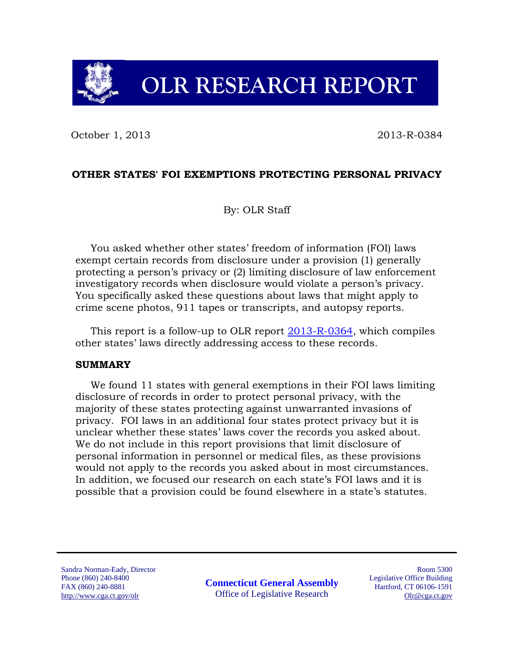# **OLR RESEARCH REPORT**

October 1, 2013 2013-R-0384

### **OTHER STATES' FOI EXEMPTIONS PROTECTING PERSONAL PRIVACY**

By: OLR Staff

You asked whether other states' freedom of information (FOI) laws exempt certain records from disclosure under a provision (1) generally protecting a person's privacy or (2) limiting disclosure of law enforcement investigatory records when disclosure would violate a person's privacy. You specifically asked these questions about laws that might apply to crime scene photos, 911 tapes or transcripts, and autopsy reports.

This report is a follow-up to OLR report [2013-R-0364,](http://www.cga.ct.gov/2013/rpt/2013-R-0364.htm) which compiles other states' laws directly addressing access to these records.

#### **SUMMARY**

We found 11 states with general exemptions in their FOI laws limiting disclosure of records in order to protect personal privacy, with the majority of these states protecting against unwarranted invasions of privacy. FOI laws in an additional four states protect privacy but it is unclear whether these states' laws cover the records you asked about. We do not include in this report provisions that limit disclosure of personal information in personnel or medical files, as these provisions would not apply to the records you asked about in most circumstances. In addition, we focused our research on each state's FOI laws and it is possible that a provision could be found elsewhere in a state's statutes.

Sandra Norman-Eady, Director Phone (860) 240-8400 FAX (860) 240-8881 http://www.cga.ct.gov/olr

**Connecticut General Assembly** Office of Legislative Research

Room 5300 Legislative Office Building Hartford, CT 06106-1591 Olr@cga.ct.gov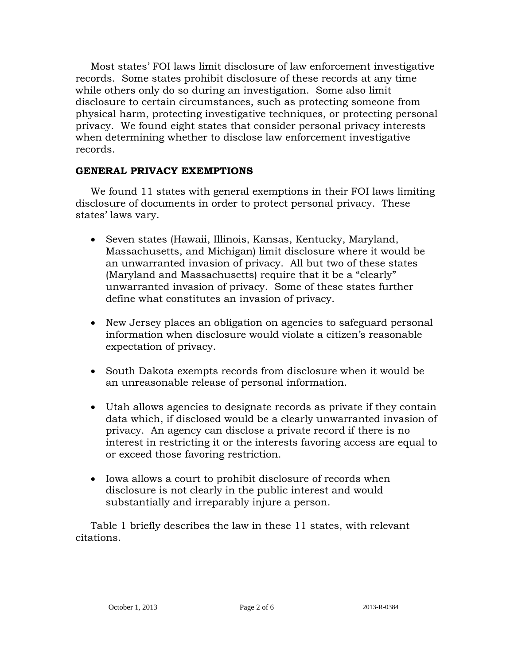Most states' FOI laws limit disclosure of law enforcement investigative records. Some states prohibit disclosure of these records at any time while others only do so during an investigation. Some also limit disclosure to certain circumstances, such as protecting someone from physical harm, protecting investigative techniques, or protecting personal privacy. We found eight states that consider personal privacy interests when determining whether to disclose law enforcement investigative records.

## **GENERAL PRIVACY EXEMPTIONS**

We found 11 states with general exemptions in their FOI laws limiting disclosure of documents in order to protect personal privacy. These states' laws vary.

- Seven states (Hawaii, Illinois, Kansas, Kentucky, Maryland, Massachusetts, and Michigan) limit disclosure where it would be an unwarranted invasion of privacy. All but two of these states (Maryland and Massachusetts) require that it be a "clearly" unwarranted invasion of privacy. Some of these states further define what constitutes an invasion of privacy.
- New Jersey places an obligation on agencies to safeguard personal information when disclosure would violate a citizen's reasonable expectation of privacy.
- South Dakota exempts records from disclosure when it would be an unreasonable release of personal information.
- Utah allows agencies to designate records as private if they contain data which, if disclosed would be a clearly unwarranted invasion of privacy. An agency can disclose a private record if there is no interest in restricting it or the interests favoring access are equal to or exceed those favoring restriction.
- Iowa allows a court to prohibit disclosure of records when disclosure is not clearly in the public interest and would substantially and irreparably injure a person.

Table 1 briefly describes the law in these 11 states, with relevant citations.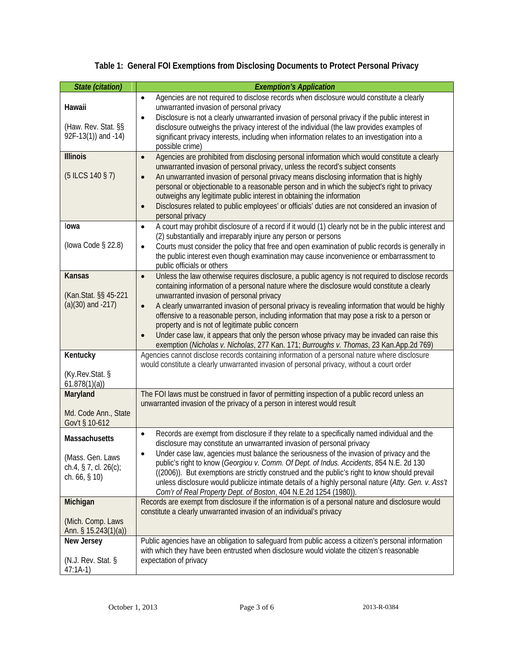|  |  |  |  |  | Table 1: General FOI Exemptions from Disclosing Documents to Protect Personal Privacy |
|--|--|--|--|--|---------------------------------------------------------------------------------------|
|--|--|--|--|--|---------------------------------------------------------------------------------------|

| <b>State (citation)</b>                                                         | <b>Exemption's Application</b>                                                                                                                                                                                                                                                                                                                                                                                                                                                                                                                                                                                                                                                                                           |
|---------------------------------------------------------------------------------|--------------------------------------------------------------------------------------------------------------------------------------------------------------------------------------------------------------------------------------------------------------------------------------------------------------------------------------------------------------------------------------------------------------------------------------------------------------------------------------------------------------------------------------------------------------------------------------------------------------------------------------------------------------------------------------------------------------------------|
| Hawaii<br>(Haw. Rev. Stat. §§<br>92F-13(1)) and -14)                            | Agencies are not required to disclose records when disclosure would constitute a clearly<br>$\bullet$<br>unwarranted invasion of personal privacy<br>Disclosure is not a clearly unwarranted invasion of personal privacy if the public interest in<br>disclosure outweighs the privacy interest of the individual (the law provides examples of<br>significant privacy interests, including when information relates to an investigation into a<br>possible crime)                                                                                                                                                                                                                                                      |
| <b>Illinois</b><br>$(5$ ILCS 140 § 7)                                           | Agencies are prohibited from disclosing personal information which would constitute a clearly<br>$\bullet$<br>unwarranted invasion of personal privacy, unless the record's subject consents<br>An unwarranted invasion of personal privacy means disclosing information that is highly<br>$\bullet$<br>personal or objectionable to a reasonable person and in which the subject's right to privacy<br>outweighs any legitimate public interest in obtaining the information<br>Disclosures related to public employees' or officials' duties are not considered an invasion of<br>$\bullet$<br>personal privacy                                                                                                        |
| lowa<br>(lowa Code $\S$ 22.8)                                                   | A court may prohibit disclosure of a record if it would (1) clearly not be in the public interest and<br>$\bullet$<br>(2) substantially and irreparably injure any person or persons<br>Courts must consider the policy that free and open examination of public records is generally in<br>$\bullet$<br>the public interest even though examination may cause inconvenience or embarrassment to<br>public officials or others                                                                                                                                                                                                                                                                                           |
| <b>Kansas</b><br>(Kan.Stat. §§ 45-221<br>$(a)(30)$ and $-217)$                  | Unless the law otherwise requires disclosure, a public agency is not required to disclose records<br>$\bullet$<br>containing information of a personal nature where the disclosure would constitute a clearly<br>unwarranted invasion of personal privacy<br>A clearly unwarranted invasion of personal privacy is revealing information that would be highly<br>$\bullet$<br>offensive to a reasonable person, including information that may pose a risk to a person or<br>property and is not of legitimate public concern<br>Under case law, it appears that only the person whose privacy may be invaded can raise this<br>exemption (Nicholas v. Nicholas, 277 Kan. 171; Burroughs v. Thomas, 23 Kan. App. 2d 769) |
| Kentucky<br>(Ky.Rev.Stat. §<br>61.878(1)(a)                                     | Agencies cannot disclose records containing information of a personal nature where disclosure<br>would constitute a clearly unwarranted invasion of personal privacy, without a court order                                                                                                                                                                                                                                                                                                                                                                                                                                                                                                                              |
| Maryland<br>Md. Code Ann., State<br>Gov't § 10-612                              | The FOI laws must be construed in favor of permitting inspection of a public record unless an<br>unwarranted invasion of the privacy of a person in interest would result                                                                                                                                                                                                                                                                                                                                                                                                                                                                                                                                                |
| Massachusetts<br>(Mass. Gen. Laws<br>ch.4, § 7, cl. $26(c)$ ;<br>ch. $66, § 10$ | Records are exempt from disclosure if they relate to a specifically named individual and the<br>$\bullet$<br>disclosure may constitute an unwarranted invasion of personal privacy<br>Under case law, agencies must balance the seriousness of the invasion of privacy and the<br>public's right to know (Georgiou v. Comm. Of Dept. of Indus. Accidents, 854 N.E. 2d 130<br>((2006)). But exemptions are strictly construed and the public's right to know should prevail<br>unless disclosure would publicize intimate details of a highly personal nature (Atty. Gen. v. Ass't<br>Com'r of Real Property Dept. of Boston, 404 N.E.2d 1254 (1980)).                                                                    |
| Michigan<br>(Mich. Comp. Laws<br>Ann. § 15.243(1)(a))                           | Records are exempt from disclosure if the information is of a personal nature and disclosure would<br>constitute a clearly unwarranted invasion of an individual's privacy                                                                                                                                                                                                                                                                                                                                                                                                                                                                                                                                               |
| New Jersey<br>(N.J. Rev. Stat. §<br>$47:1A-1)$                                  | Public agencies have an obligation to safeguard from public access a citizen's personal information<br>with which they have been entrusted when disclosure would violate the citizen's reasonable<br>expectation of privacy                                                                                                                                                                                                                                                                                                                                                                                                                                                                                              |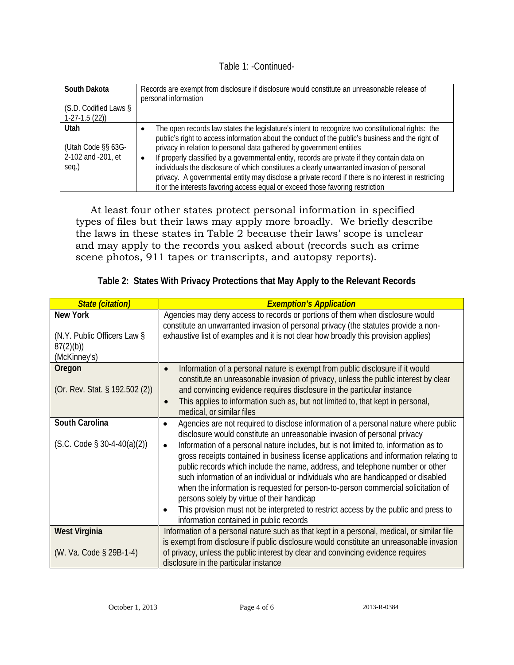Table 1: -Continued-

| South Dakota                | Records are exempt from disclosure if disclosure would constitute an unreasonable release of<br>personal information                                                                                                                                                                                           |
|-----------------------------|----------------------------------------------------------------------------------------------------------------------------------------------------------------------------------------------------------------------------------------------------------------------------------------------------------------|
| (S.D. Codified Laws §       |                                                                                                                                                                                                                                                                                                                |
| $1-27-1.5(22)$              |                                                                                                                                                                                                                                                                                                                |
| Utah<br>(Utah Code §§ 63G-  | The open records law states the legislature's intent to recognize two constitutional rights: the<br>public's right to access information about the conduct of the public's business and the right of<br>privacy in relation to personal data gathered by government entities                                   |
| 2-102 and -201, et<br>seq.) | If properly classified by a governmental entity, records are private if they contain data on<br>$\bullet$<br>individuals the disclosure of which constitutes a clearly unwarranted invasion of personal<br>privacy. A governmental entity may disclose a private record if there is no interest in restricting |
|                             | it or the interests favoring access equal or exceed those favoring restriction                                                                                                                                                                                                                                 |

At least four other states protect personal information in specified types of files but their laws may apply more broadly. We briefly describe the laws in these states in Table 2 because their laws' scope is unclear and may apply to the records you asked about (records such as crime scene photos, 911 tapes or transcripts, and autopsy reports).

|  | Table 2: States With Privacy Protections that May Apply to the Relevant Records |  |
|--|---------------------------------------------------------------------------------|--|
|  |                                                                                 |  |

| <b>State (citation)</b>                                                    | <b>Exemption's Application</b>                                                                                                                                                                                                                                                                                                                                                                                                                                                                                                                                                                                                                                                                                                                                                                                                    |
|----------------------------------------------------------------------------|-----------------------------------------------------------------------------------------------------------------------------------------------------------------------------------------------------------------------------------------------------------------------------------------------------------------------------------------------------------------------------------------------------------------------------------------------------------------------------------------------------------------------------------------------------------------------------------------------------------------------------------------------------------------------------------------------------------------------------------------------------------------------------------------------------------------------------------|
| <b>New York</b><br>(N.Y. Public Officers Law §<br>87(2)(b)<br>(McKinney's) | Agencies may deny access to records or portions of them when disclosure would<br>constitute an unwarranted invasion of personal privacy (the statutes provide a non-<br>exhaustive list of examples and it is not clear how broadly this provision applies)                                                                                                                                                                                                                                                                                                                                                                                                                                                                                                                                                                       |
| Oregon<br>(Or. Rev. Stat. § 192.502 (2))                                   | Information of a personal nature is exempt from public disclosure if it would<br>$\bullet$<br>constitute an unreasonable invasion of privacy, unless the public interest by clear<br>and convincing evidence requires disclosure in the particular instance<br>This applies to information such as, but not limited to, that kept in personal,<br>$\bullet$<br>medical, or similar files                                                                                                                                                                                                                                                                                                                                                                                                                                          |
| South Carolina<br>$(S.C. Code § 30-4-40(a)(2))$                            | Agencies are not required to disclose information of a personal nature where public<br>$\bullet$<br>disclosure would constitute an unreasonable invasion of personal privacy<br>Information of a personal nature includes, but is not limited to, information as to<br>$\bullet$<br>gross receipts contained in business license applications and information relating to<br>public records which include the name, address, and telephone number or other<br>such information of an individual or individuals who are handicapped or disabled<br>when the information is requested for person-to-person commercial solicitation of<br>persons solely by virtue of their handicap<br>This provision must not be interpreted to restrict access by the public and press to<br>$\bullet$<br>information contained in public records |
| <b>West Virginia</b><br>(W. Va. Code § 29B-1-4)                            | Information of a personal nature such as that kept in a personal, medical, or similar file<br>is exempt from disclosure if public disclosure would constitute an unreasonable invasion<br>of privacy, unless the public interest by clear and convincing evidence requires<br>disclosure in the particular instance                                                                                                                                                                                                                                                                                                                                                                                                                                                                                                               |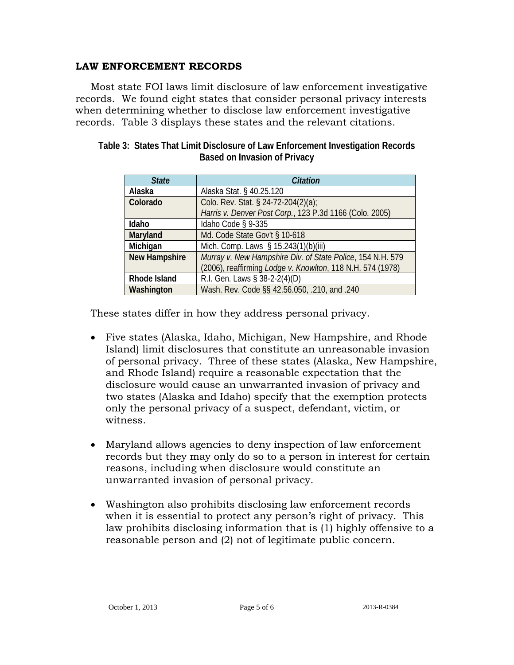## **LAW ENFORCEMENT RECORDS**

Most state FOI laws limit disclosure of law enforcement investigative records. We found eight states that consider personal privacy interests when determining whether to disclose law enforcement investigative records. Table 3 displays these states and the relevant citations.

| <b>State</b>         | <b>Citation</b>                                                                                                          |
|----------------------|--------------------------------------------------------------------------------------------------------------------------|
| Alaska               | Alaska Stat. § 40.25.120                                                                                                 |
| Colorado             | Colo. Rev. Stat. § 24-72-204(2)(a);                                                                                      |
|                      | Harris v. Denver Post Corp., 123 P.3d 1166 (Colo. 2005)                                                                  |
| Idaho                | Idaho Code § 9-335                                                                                                       |
| Maryland             | Md. Code State Gov't § 10-618                                                                                            |
| Michigan             | Mich. Comp. Laws § 15.243(1)(b)(iii)                                                                                     |
| <b>New Hampshire</b> | Murray v. New Hampshire Div. of State Police, 154 N.H. 579<br>(2006), reaffirming Lodge v. Knowlton, 118 N.H. 574 (1978) |
| <b>Rhode Island</b>  | R.I. Gen. Laws § 38-2-2(4)(D)                                                                                            |
| Washington           | Wash. Rev. Code §§ 42.56.050, .210, and .240                                                                             |

| Table 3: States That Limit Disclosure of Law Enforcement Investigation Records |
|--------------------------------------------------------------------------------|
| Based on Invasion of Privacy                                                   |

These states differ in how they address personal privacy.

- Five states (Alaska, Idaho, Michigan, New Hampshire, and Rhode Island) limit disclosures that constitute an unreasonable invasion of personal privacy. Three of these states (Alaska, New Hampshire, and Rhode Island) require a reasonable expectation that the disclosure would cause an unwarranted invasion of privacy and two states (Alaska and Idaho) specify that the exemption protects only the personal privacy of a suspect, defendant, victim, or witness.
- Maryland allows agencies to deny inspection of law enforcement records but they may only do so to a person in interest for certain reasons, including when disclosure would constitute an unwarranted invasion of personal privacy.
- Washington also prohibits disclosing law enforcement records when it is essential to protect any person's right of privacy. This law prohibits disclosing information that is (1) highly offensive to a reasonable person and (2) not of legitimate public concern.